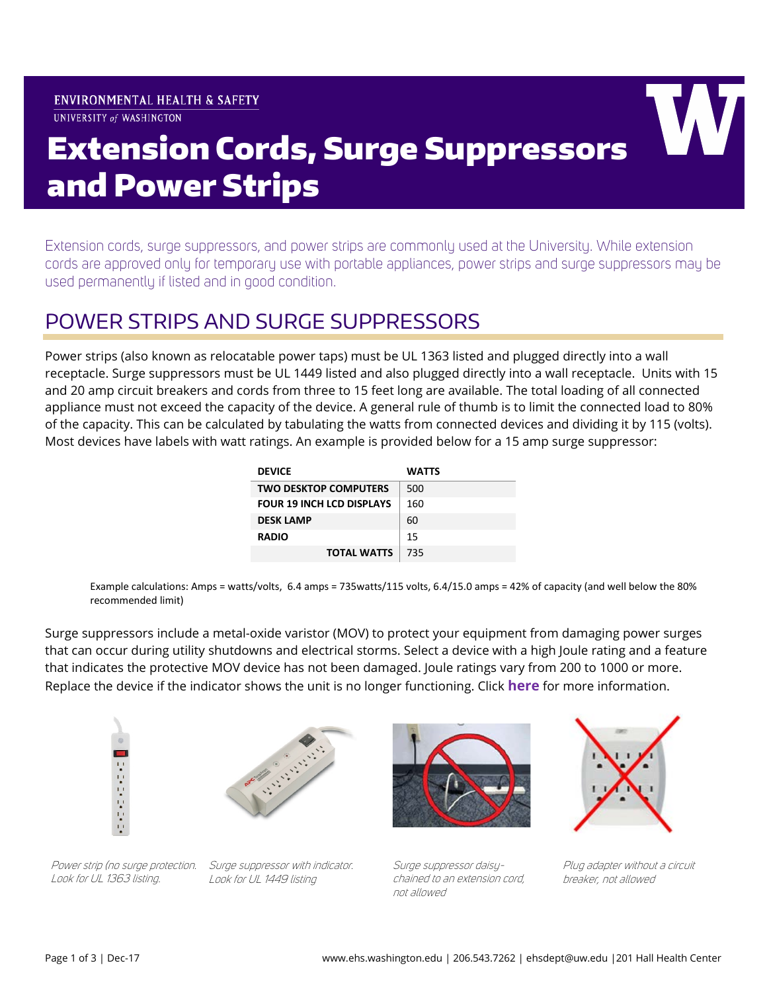#### **ENVIRONMENTAL HEALTH & SAFETY** UNIVERSITY of WASHINGTON



# Extension Cords, Surge Suppressors and Power Strips

Extension cords, surge suppressors, and power strips are commonly used at the University. While extension cords are approved only for temporary use with portable appliances, power strips and surge suppressors may be used permanently if listed and in good condition.

### POWER STRIPS AND SURGE SUPPRESSORS

Power strips (also known as relocatable power taps) must be UL 1363 listed and plugged directly into a wall receptacle. Surge suppressors must be UL 1449 listed and also plugged directly into a wall receptacle. Units with 15 and 20 amp circuit breakers and cords from three to 15 feet long are available. The total loading of all connected appliance must not exceed the capacity of the device. A general rule of thumb is to limit the connected load to 80% of the capacity. This can be calculated by tabulating the watts from connected devices and dividing it by 115 (volts). Most devices have labels with watt ratings. An example is provided below for a 15 amp surge suppressor:

| <b>DEVICE</b>                    | <b>WATTS</b> |
|----------------------------------|--------------|
| <b>TWO DESKTOP COMPUTERS</b>     | 500          |
| <b>FOUR 19 INCH LCD DISPLAYS</b> | 160          |
| <b>DESK LAMP</b>                 | 60           |
| <b>RADIO</b>                     | 15           |
| <b>TOTAL WATTS</b>               | 735          |

Example calculations: Amps = watts/volts, 6.4 amps = 735watts/115 volts, 6.4/15.0 amps = 42% of capacity (and well below the 80% recommended limit)

Surge suppressors include a metal-oxide varistor (MOV) to protect your equipment from damaging power surges that can occur during utility shutdowns and electrical storms. Select a device with a high Joule rating and a feature that indicates the protective MOV device has not been damaged. Joule ratings vary from 200 to 1000 or more. Replace the device if the indicator shows the unit is no longer functioning. Click **[here](https://www.tripplite.com/shared/literature/White-Paper/How-to-Choose-the-Right-Surge-Protector-White-Paper-EN.pdf)** for more information.







Look for UL 1449 listing



Surge suppressor daisychained to an extension cord, not allowed

Plug adapter without a circuit breaker, not allowed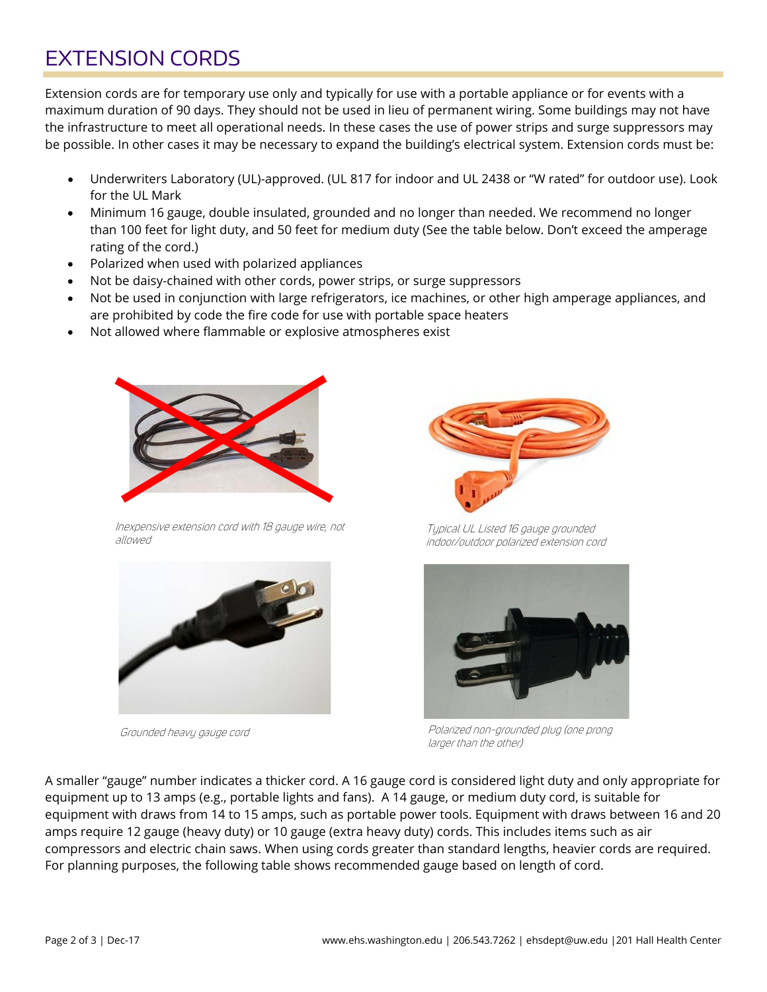# EXTENSION CORDS

Extension cords are for temporary use only and typically for use with a portable appliance or for events with a maximum duration of 90 days. They should not be used in lieu of permanent wiring. Some buildings may not have the infrastructure to meet all operational needs. In these cases the use of power strips and surge suppressors may be possible. In other cases it may be necessary to expand the building's electrical system. Extension cords must be:

- Underwriters Laboratory (UL)-approved. (UL 817 for indoor and UL 2438 or "W rated" for outdoor use). Look for the UL Mark
- Minimum 16 gauge, double insulated, grounded and no longer than needed. We recommend no longer than 100 feet for light duty, and 50 feet for medium duty (See the table below. Don't exceed the amperage rating of the cord.)
- Polarized when used with polarized appliances
- Not be daisy-chained with other cords, power strips, or surge suppressors
- Not be used in conjunction with large refrigerators, ice machines, or other high amperage appliances, and are prohibited by code the fire code for use with portable space heaters
- Not allowed where flammable or explosive atmospheres exist



Inexpensive extension cord with 18 gauge wire, not allowed



Grounded heavy gauge cord



Typical UL Listed 16 gauge grounded indoor/outdoor polarized extension cord



Polarized non-grounded plug (one prong larger than the other)

A smaller "gauge" number indicates a thicker cord. A 16 gauge cord is considered light duty and only appropriate for equipment up to 13 amps (e.g., portable lights and fans). A 14 gauge, or medium duty cord, is suitable for equipment with draws from 14 to 15 amps, such as portable power tools. Equipment with draws between 16 and 20 amps require 12 gauge (heavy duty) or 10 gauge (extra heavy duty) cords. This includes items such as air compressors and electric chain saws. When using cords greater than standard lengths, heavier cords are required. For planning purposes, the following table shows recommended gauge based on length of cord.